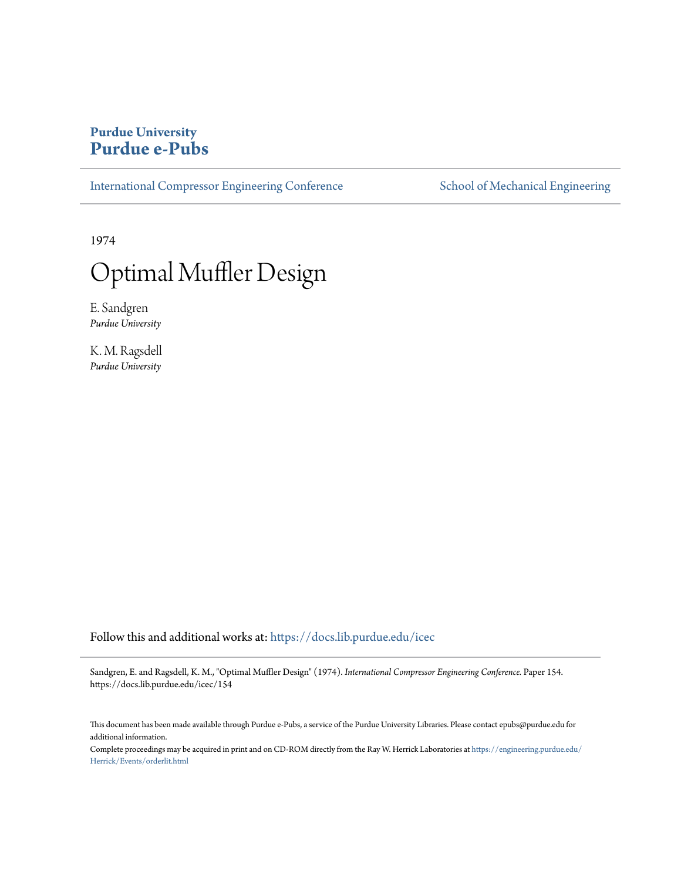# **Purdue University [Purdue e-Pubs](https://docs.lib.purdue.edu?utm_source=docs.lib.purdue.edu%2Ficec%2F154&utm_medium=PDF&utm_campaign=PDFCoverPages)**

[International Compressor Engineering Conference](https://docs.lib.purdue.edu/icec?utm_source=docs.lib.purdue.edu%2Ficec%2F154&utm_medium=PDF&utm_campaign=PDFCoverPages) [School of Mechanical Engineering](https://docs.lib.purdue.edu/me?utm_source=docs.lib.purdue.edu%2Ficec%2F154&utm_medium=PDF&utm_campaign=PDFCoverPages)

1974

# Optimal Muffler Design

E. Sandgren *Purdue University*

K. M. Ragsdell *Purdue University*

Follow this and additional works at: [https://docs.lib.purdue.edu/icec](https://docs.lib.purdue.edu/icec?utm_source=docs.lib.purdue.edu%2Ficec%2F154&utm_medium=PDF&utm_campaign=PDFCoverPages)

Sandgren, E. and Ragsdell, K. M., "Optimal Muffler Design" (1974). *International Compressor Engineering Conference.* Paper 154. https://docs.lib.purdue.edu/icec/154

This document has been made available through Purdue e-Pubs, a service of the Purdue University Libraries. Please contact epubs@purdue.edu for additional information.

Complete proceedings may be acquired in print and on CD-ROM directly from the Ray W. Herrick Laboratories at [https://engineering.purdue.edu/](https://engineering.purdue.edu/Herrick/Events/orderlit.html) [Herrick/Events/orderlit.html](https://engineering.purdue.edu/Herrick/Events/orderlit.html)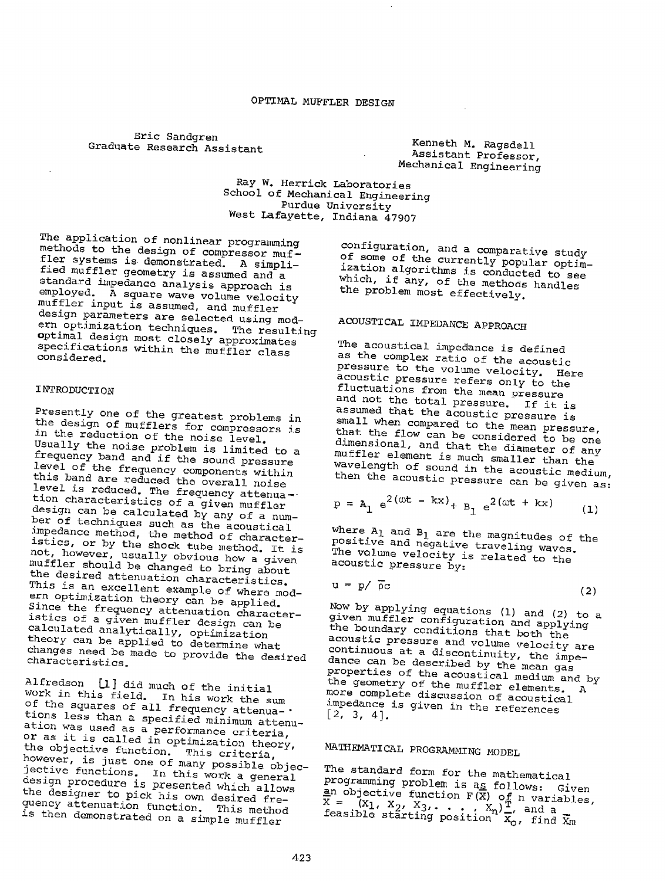Eric Sandgren Graduate Research Assistant

Kenneth M. Ragsdell Assistant Professor, Mechanical Engineering

Ray W. Herrick Laboratories<br>School of Mechanical Engineering<br>Purdue University<br>West Lafayette, Indiana 47907

The application of nonlinear programming<br>methods to the design of compressor muf-<br>fler systems is demonstrated. A simpli-<br>fied muffler geometry is assumed and a<br>standard impedance analysis approach is<br>employed. A square wa muffler input is assumed, and muffler<br>design parameters are selected using modern optimization techniques. The resulting<br>optimal design most closely approximates<br>specifications within the muffler class<br>considered.

## INTRODUCTION

Presently one of the greatest problems in<br>the design of mufflers for compressors is<br>in the reduction of the noise level.<br>Usually the noise problem is limited to a<br>frequency band and if the sound pressure<br>level of the frequ level is reduced. The frequency attenua--<br>tion characteristics of a given muffler<br>design can be calculated by any of a number design can be calculated by any of a num-<br>ber of techniques such as the acoustical<br>impedance method, the method of characteristics, or by the shock tube method. It is<br>not, however, usually obvious base muffler should be changed to bring about muffler should be changed to bring about the desired attenuation characteristics. This is an excellent example of where modern This is an excellent example of where mod-<br>ern optimization theory can be applied.<br>Since the frequency attenuation character-<br>istics of a rime istics of a given muffler design can be<br>calculated analytically, optimization<br>theory can be applied to determine what Since the frequency attenuation character-<br>istics of a given muffler design can be<br>calculated analytically, optimization<br>theory can be applied to determine what<br>changes need be made to provide the desired<br>characteristics.

Alfredson [1] did much of the initial<br>Work in this field of the initial work in this field. In his work the sum<br>of the squares of all frequency attenua-. tions less than a specified minimum attenu-<br>ation was used as a performance criteria,<br>or as it is called in optimization theory,<br>the objective function. This criteria,<br>however, is just one of many possible objec-<br>jective f design procedure is presented which allows<br>the designer to pick his own desired frequency the designer to pick his own desired fre-<br>quency attenuation function. This method<br>is then demonstrated on a simple muffler

configuration, and a comparative study<br>of some of the currently popular optim-<br>ization algorithms is conducted to see<br>which, if any, of the methods handles<br>the problem most effectively.

# ACOUSTICAL IMPEDANCE APPROACH

The acoustical impedance *is* defined pressure to the volume velocity. Here<br>acoustic pressure refers only to the<br>fluctuations from the mean pressure<br>and not the total pressure. If it is<br>assumed that the acoustic pressure is<br>small when compared to the mean pres dimensional, and that the diameter of any wavelength muffler element is much smaller than the<br>wavelength of sound in the acoustic medium,<br>then the acoustic pressure can be given as:

$$
p = A_1 e^{2(\omega t - kx)} + B_1 e^{2(\omega t + kx)}
$$
 (1)

where  $A_1$  and  $B_1$  are the magnitudes of the positive and negative traveling waves. The volume velocity is related to the acoustic pressure by:

$$
u = p / \bar{\rho}c \tag{2}
$$

Now by applying equations (1) and (2) to a<br>given muffler configuration and applying<br>the boundary conditions that both the<br>acoustic pressure and volume velocity are<br>continuous at a discontinuity, the impe-<br>dance can be desc dance can be described by the mean gas<br>properties of the acoustical medium and by<br>the geometry of the puffical medium and by more the geometry of the muffler elements. A more complete discussion of acoustical impedance is given in the references [2, 3, 4].

# MATHEMATICAL PROGRAMMING MODEL

The standard form for the mathematical<br>programming problem is a<u>s</u> follows: Given ~n programming problem is as follows: Given  $\underline{\mathbf{a}}$ n objective function F(X) of n variables,<br> $\overline{\mathbf{x}} = (\mathbf{x}_1, \mathbf{x}_2, \mathbf{x}_3, \dots, \mathbf{x}_n)$ , and a<br>feasible starting position  $\overline{\mathbf{x}}_0$ , find  $\overline{\mathbf{x}}_m$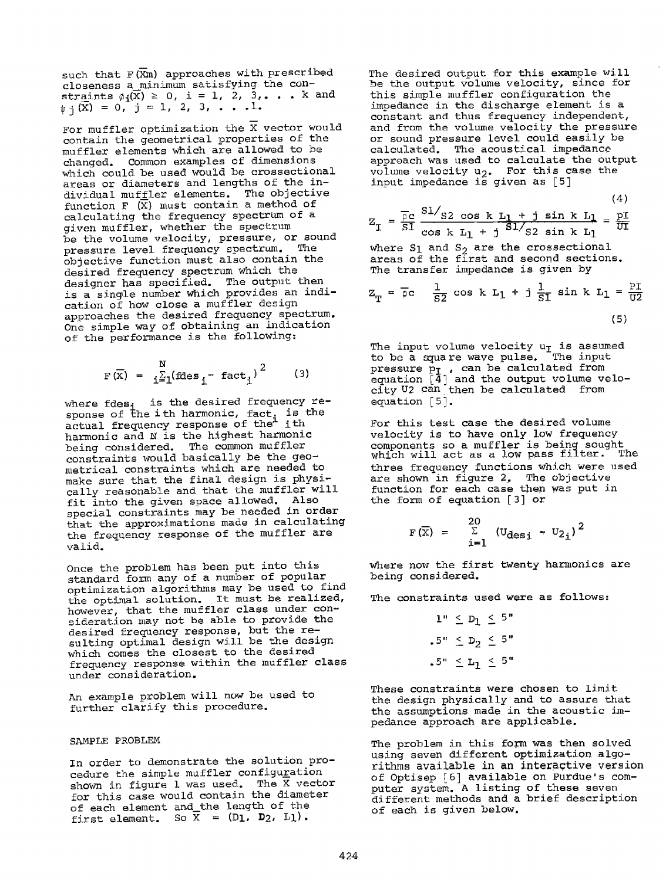such that  $F(\overline{X}m)$  approaches with prescribed closeness a *minimum* satisfying the con straints  $\phi_i(\overline{X}) \geq 0$ , i = 1, 2, 3, ... k and  $\psi$   $\overline{\chi}$  = 0, j = 1, 2, 3, . . . 1.

For muffler optimization the  $\overline{X}$  vector would contain the geometrical properties of the muffler elements which are allowed to be changed. Common examples of dimensions which could be used would be crossectional areas or diameters and lengths of the individual muffler elements. The objective function F  $(\bar{X})$  must contain a method of calculating the frequency spectrum of a <sup>g</sup>iven muffler, whether the spectrum be the volume velocity, pressure, or sound pressure level frequency spectrum. The objective function must also contain the desired frequency spectrum which the designer has specified. The output then is a single number which provides an indication of how close a muffler design approaches the desired frequency spectrum. One simple way of obtaining an indication of the performance is the following:

$$
F(\overline{X}) = \frac{N}{i \underline{\Sigma}_1} (\text{fdes}_{i} - \text{fact}_{i})^2 \qquad (3)
$$

where fdes; is the desired frequency response of the ith harmonic, fact, is the actual frequency response of the<sup>1</sup> ith harmonic and N is the highest harmonic<br>being considered. The common muffler being considered. constraints would basically be the geometrical constraints which are needed to make sure that the final design is physically reasonable and that the muffler will fit into the given space allowed. Also special constraints may be needed in order that the approximations made in calculating the frequency response of the muffler are valid.

Once the problem has been put into this standard form any of a number of popular optimization algorithms may be used to find the optimal solution. It must be realized, however, that the muffler class under consideration may not be able to provide the desired frequency response, but the resulting optimal design will be the design which comes the closest to the desired frequency response within the muffler class under consideration.

An example problem will now be used to further clarify this procedure.

#### SAMPLE PROBLEM

In order to demonstrate the solution procedure the simple muffler configuration shown in figure 1 was used. The  $\bar{X}$  vector for this case would contain the diameter of each element and the length of the first element. So  $\overline{X} = (D_1, D_2, L_1)$ .

The desired output for this example will *be* the output volume velocity, since for this simple muffler configuration the impedance in the discharge element is <sup>a</sup> constant and thus frequency independent, and from the volume velocity the pressure or sound pressure level could easily be calculated. The acoustical impedance approach was used to calculate the output volume velocity  $u_2$ . For this case the input impedance is given as [5]

(4)  
\n
$$
Z_{I} = \frac{\overline{\rho}c}{SI} \frac{SI/_{S2} \cos k L_{I} + j \sin k L_{I}}{\cos k L_{I} + j \frac{SI/_{S2} \sin k L_{I}}{\sin k L_{I}} = \frac{pI}{UI}
$$
\nwhere S<sub>1</sub> and S<sub>2</sub> are the crossection

where S1 and S<sub>2</sub> are the crossectional<br>areas of the first and second sections. The transfer impedance is given by

$$
Z_{T} = \overline{\rho}c \quad \frac{1}{S2} \cos k L_1 + j \frac{1}{S1} \sin k L_1 = \frac{PI}{U2}
$$
\n(5)

The input volume velocity  $\mathtt{u_{T}}$  is assumed to be a square wave pulse. The input pressure  $\Pr$  , can be calculated from equation [4] and the output volume velocityU2 can then be calculated from equation [5].

For this test case the desired volume velocity *is* to have only low frequency components so <sup>a</sup>muffler is being sought which will act as <sup>a</sup>low pass filter. The three frequency functions which were used are shown in figure 2. The objective function for each case then was put in the form of equation [3] or

$$
F(\overline{X}) = \sum_{i=1}^{20} (U_{\text{des}i} - U_{2i})^2
$$

where now the first twenty harmonics are being considered.

The constraints used were as follows:

 $1" \leq D_1 \leq 5"$ .5"  $\leq D_2 \leq 5$ "  $.5" \leq L_1 \leq 5"$ 

These constraints were chosen to limit the design physically and to assure that the assumptions made in the acoustic impedance approach are applicable.

The problem in this form was then solved using seven different optimization algorithms available in **an** interactive version of Optisep [6] available on Purdue's computer system. A listing of these seven different methods and a brief description of each is given below.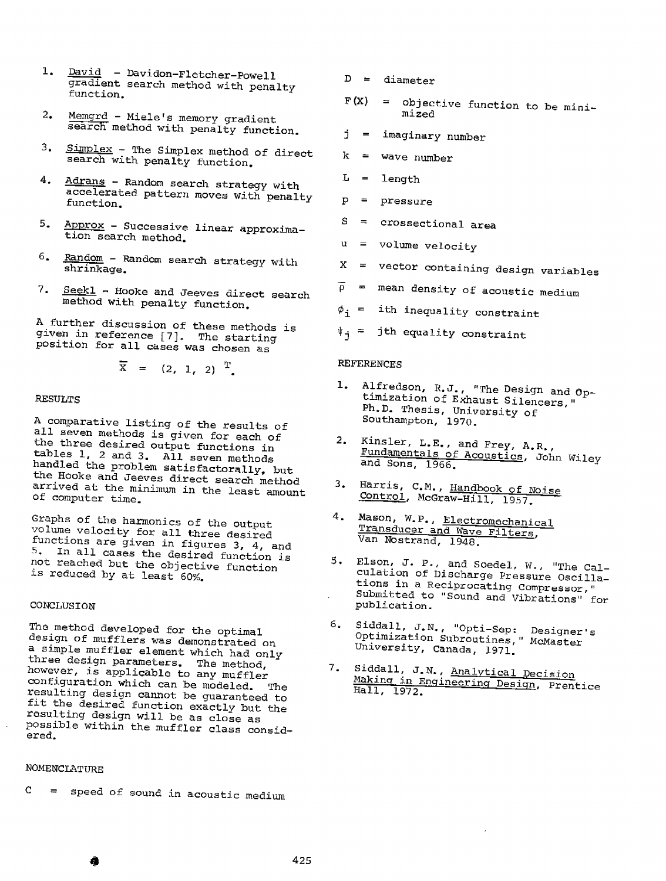- 1. David Davidon-Fletcher-Powell gradient search method with penalty function.
- 2. Memgrd - Miele's memory gradient search method with penalty function.
- $\frac{3.5 \text{ mplex}}{2.5 \times 10^{-4} \text{ m}}$  The Simplex method of direct search with penalty function.
- 4. Adrans Random search strategy with accelerated pattern moves with penalty function.
- 5. Approx - Successive linear approximation search method.
- 6. Random - Random search strategy with shrinkage.
- $7.$  Seekl Hooke and Jeeves direct search method with penalty function.

<sup>A</sup>further discussion of these methods is given in reference [7]. The starting position for all cases was chosen as

$$
\overline{X}
$$
 = (2, 1, 2)  $T$ .

#### RESULTS

<sup>A</sup>comparative listing of the results of all seven methods *is* given for each of the three desired output functions in tables 1, 2 and 3. All seven methods handled the problem satisfactorally, but the Hooke and Jeeves direct search method arrived at the minimum *in* the least amount of computer time.

Graphs of the harmonics of the output<br>volume velocity for all three desired functions are given in figures 3, 4, and 5. In all cases the desired function is not reached but the objective function is reduced by at least 60%.

## CONCLUSION

The method developed for the optimal design of mufflers was demonstrated on <sup>a</sup>simple muffler element which had only three design parameters. The method, however, is applicable to any muffler configuration which can be modeled. The resulting design cannot be guaranteed to fit the desired function exactly but the<br>resulting design will be as close as possible within the muffler class considered.

# NOMENCLATURE

<sup>C</sup>= speed of sound *in* acoustic medium

 $D =$  diameter

- $F(X) =$  objective function to be minimized
- j = imaginary number
- k = wave number
- $L =$  length
- p = pressure
- <sup>s</sup>= crossectional area
- $u =$  volume velocity
- $X =$  vector containing design variables
- $\overline{\rho}$  = mean density of acoustic medium
- *¢i* ith inequality constraint
- $\Psi_{\mathbf{i}}$  = jth equality constraint

# REFERENCES

- Alfredson, R.J., "The Design and Optimization of Exhaust Silencers," Ph.D. Thesis, University of Southampton, 1970.
- 2. Kinsler, L.E., and Frey, A.R., Fundamentals of Acoustics, John Wiley and Sons, 1966.
- 3. Harris, C.M., Handbook of Noise Control, McGraw-Hill, 1957.
- 4. Mason, W.P., Electromechanical Transducer and Wave Filters, Van Nostrand, 1948.
- 5. Elson, J. P., and Soedel, w., "The Calculation of Discharge Pressure Oscillations in a Reciprocating Compressor, " Submitted to "Sound and Vibrations" for publication.
- 6. Siddall, J.N., "Opti-Sep: Designer's Optimization Subroutines,'' McMaster University, canada, 1971.
- 7. Siddall, J.N., Analytical Decision Making in Engineering Design, Prentice Hall, 1972.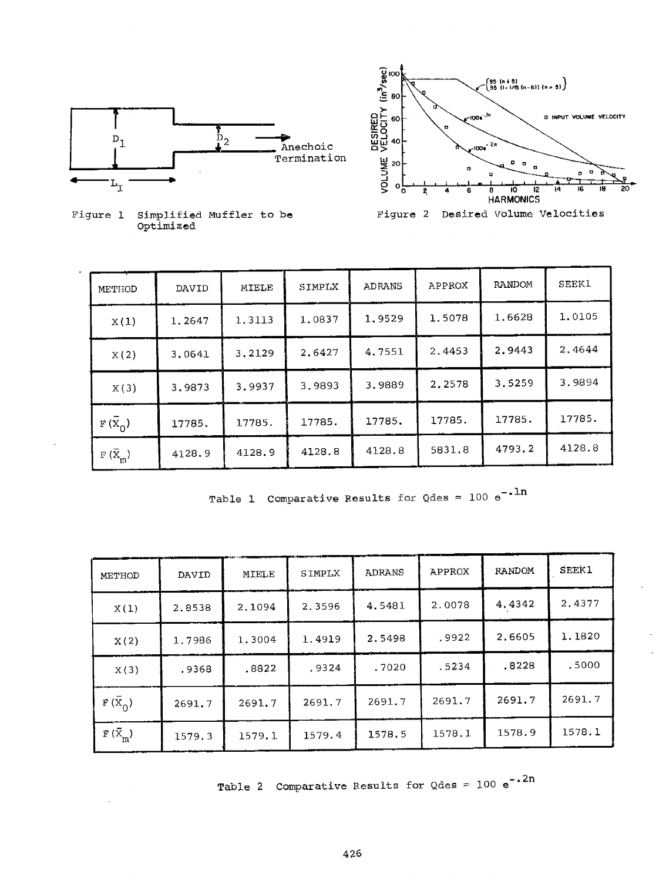



Figure 1 Simplified Muffler to be Optimized

| METHOD                                              | DAVID  | MIELE  | SIMPLX | ADRANS | APPROX | RANDOM | <b>SEEK1</b> |
|-----------------------------------------------------|--------|--------|--------|--------|--------|--------|--------------|
| X(1)                                                | 1.2647 | 1.3113 | 1.0837 | 1.9529 | 1.5078 | 1,6628 | 1.0105       |
| X(2)                                                | 3.0641 | 3.2129 | 2.6427 | 4.7551 | 2.4453 | 2.9443 | 2.4644       |
| X(3)                                                | 3.9873 | 3.9937 | 3.9893 | 3.9889 | 2.2578 | 3.5259 | 3.9894       |
| $F(\overline{X}_0)$                                 | 17785. | 17785. | 17785. | 17785. | 17785. | 17785. | 17785.       |
| $\mathbb{F}(\bar{\mathbf{X}}_{\bar{\mathfrak{m}}})$ | 4128.9 | 4128.9 | 4128.8 | 4128.8 | 5831.8 | 4793.2 | 4128.8       |

Table 1 Comparative Results for Qdes = 100  $\mathrm{e}^{-\ast\ln\hphantom{0}}$ 

| METHOD           | DAVID  | MIELE  | SIMPLX | <b>ADRANS</b> | APPROX | <b>RANDOM</b> | <b>SEEK1</b> |
|------------------|--------|--------|--------|---------------|--------|---------------|--------------|
| X(1)             | 2.8538 | 2.1094 | 2.3596 | 4.5481        | 2.0078 | 4.4342        | 2.4377       |
| X(2)             | 1.7986 | 1.3004 | 1.4919 | 2.5498        | .9922  | 2.6605        | 1.1820       |
| X(3)             | .9368  | .8822  | .9324  | .7020         | .5234  | .8228         | .5000        |
| $F(\bar{X}_0)$   | 2691.7 | 2691.7 | 2691.7 | 2691.7        | 2691.7 | 2691.7        | 2691.7       |
| $F(\bar{X}_{m})$ | 1579.3 | 1579.1 | 1579.4 | 1578.5        | 1578.1 | 1578.9        | 1578.1       |

Table 2 Comparative Results for Qdes = 100  $e^{-.2n}$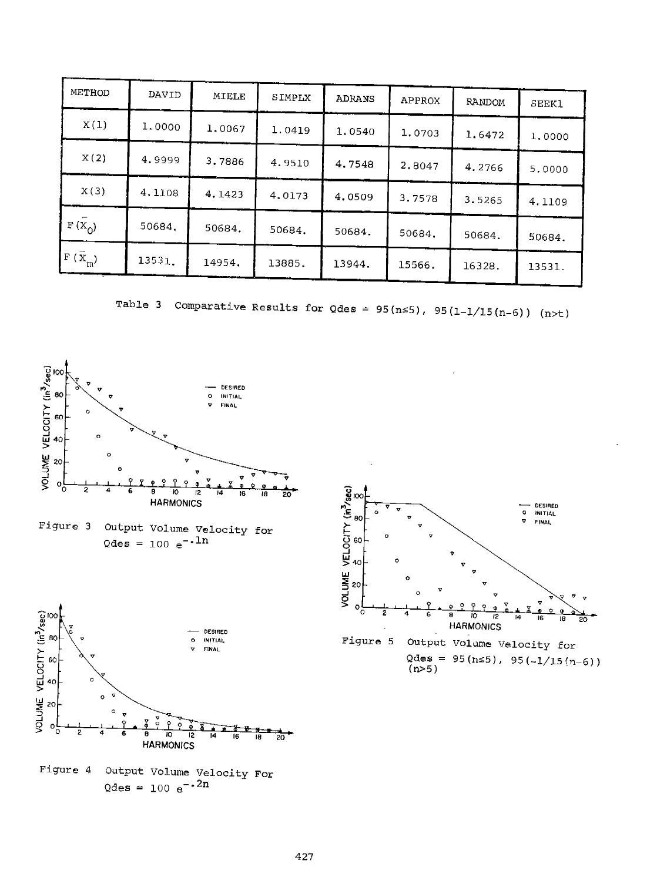| METHOD         | DAVID  | MIELE  | SIMPLX | ADRANS | APPROX | RANDOM | <b>SEEK1</b> |
|----------------|--------|--------|--------|--------|--------|--------|--------------|
| X(1)           | 1.0000 | 1.0067 | 1.0419 | 1.0540 | 1,0703 | 1.6472 | 1,0000       |
| X(2)           | 4.9999 | 3.7886 | 4.9510 | 4.7548 | 2.8047 | 4.2766 | 5.0000       |
| X(3)           | 4,1108 | 4.1423 | 4.0173 | 4.0509 | 3.7578 | 3.5265 | 4.1109       |
| $F(X_{()})$    | 50684. | 50684. | 50684. | 50684. | 50684. | 50684. | 50684.       |
| $F(\vec{x}_m)$ | 13531. | 14954. | 13885. | 13944. | 15566. | 16328. | 13531.       |

Table 3 Comparative Results for Qdes =  $95(n \le 5)$ ,  $95(1-1/15(n-6))$  (n>t)









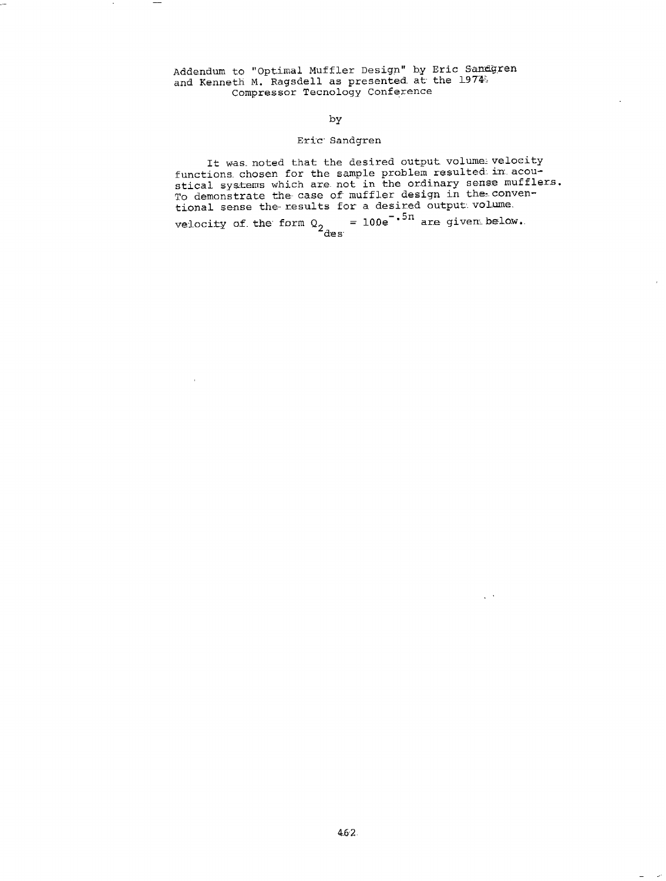Addendum to "Optimal Muffler Design" by Eric Sandgren and Kenneth M. Ragsdell as presented at the  $1974$   $\,$ Compressor Tecnology Conference

# by

# Eric Sandgren

It was noted that the desired output volume velocity functions chosen for the sample problem resulted in acoustical systems which are not in the ordinary sense mufflers. To demonstrate the case of muffler design in the conventional sense the results for a desired output volume. velocity of the form  $Q_2$  = 100e<sup>-.54</sup> are given below.

 $\sim$